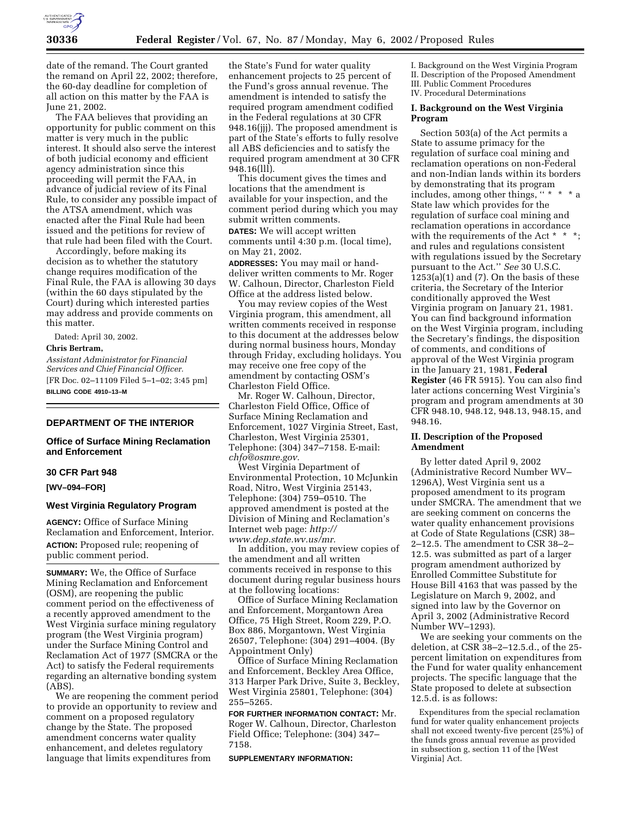

date of the remand. The Court granted the remand on April 22, 2002; therefore, the 60-day deadline for completion of all action on this matter by the FAA is June 21, 2002.

The FAA believes that providing an opportunity for public comment on this matter is very much in the public interest. It should also serve the interest of both judicial economy and efficient agency administration since this proceeding will permit the FAA, in advance of judicial review of its Final Rule, to consider any possible impact of the ATSA amendment, which was enacted after the Final Rule had been issued and the petitions for review of that rule had been filed with the Court.

Accordingly, before making its decision as to whether the statutory change requires modification of the Final Rule, the FAA is allowing 30 days (within the 60 days stipulated by the Court) during which interested parties may address and provide comments on this matter.

Dated: April 30, 2002.

### **Chris Bertram,**

*Assistant Administrator for Financial Services and Chief Financial Officer.* [FR Doc. 02–11109 Filed 5–1–02; 3:45 pm] **BILLING CODE 4910–13–M**

## **DEPARTMENT OF THE INTERIOR**

### **Office of Surface Mining Reclamation and Enforcement**

#### **30 CFR Part 948**

**[WV–094–FOR]**

#### **West Virginia Regulatory Program**

**AGENCY:** Office of Surface Mining Reclamation and Enforcement, Interior. **ACTION:** Proposed rule; reopening of public comment period.

**SUMMARY:** We, the Office of Surface Mining Reclamation and Enforcement (OSM), are reopening the public comment period on the effectiveness of a recently approved amendment to the West Virginia surface mining regulatory program (the West Virginia program) under the Surface Mining Control and Reclamation Act of 1977 (SMCRA or the Act) to satisfy the Federal requirements regarding an alternative bonding system (ABS).

We are reopening the comment period to provide an opportunity to review and comment on a proposed regulatory change by the State. The proposed amendment concerns water quality enhancement, and deletes regulatory language that limits expenditures from

the State's Fund for water quality enhancement projects to 25 percent of the Fund's gross annual revenue. The amendment is intended to satisfy the required program amendment codified in the Federal regulations at 30 CFR 948.16(jjj). The proposed amendment is part of the State's efforts to fully resolve all ABS deficiencies and to satisfy the required program amendment at 30 CFR  $94\overline{8.16}$ (lll).

This document gives the times and locations that the amendment is available for your inspection, and the comment period during which you may submit written comments.

**DATES:** We will accept written comments until 4:30 p.m. (local time), on May 21, 2002.

**ADDRESSES:** You may mail or handdeliver written comments to Mr. Roger W. Calhoun, Director, Charleston Field Office at the address listed below.

You may review copies of the West Virginia program, this amendment, all written comments received in response to this document at the addresses below during normal business hours, Monday through Friday, excluding holidays. You may receive one free copy of the amendment by contacting OSM's Charleston Field Office.

Mr. Roger W. Calhoun, Director, Charleston Field Office, Office of Surface Mining Reclamation and Enforcement, 1027 Virginia Street, East, Charleston, West Virginia 25301, Telephone: (304) 347–7158. E-mail: *chfo@osmre.gov.*

West Virginia Department of Environmental Protection, 10 McJunkin Road, Nitro, West Virginia 25143, Telephone: (304) 759–0510. The approved amendment is posted at the Division of Mining and Reclamation's Internet web page: *http:// www.dep.state.wv.us/mr.*

In addition, you may review copies of the amendment and all written comments received in response to this document during regular business hours at the following locations:

Office of Surface Mining Reclamation and Enforcement, Morgantown Area Office, 75 High Street, Room 229, P.O. Box 886, Morgantown, West Virginia 26507, Telephone: (304) 291–4004. (By Appointment Only)

Office of Surface Mining Reclamation and Enforcement, Beckley Area Office, 313 Harper Park Drive, Suite 3, Beckley, West Virginia 25801, Telephone: (304) 255–5265.

**FOR FURTHER INFORMATION CONTACT:** Mr. Roger W. Calhoun, Director, Charleston Field Office; Telephone: (304) 347– 7158.

#### **SUPPLEMENTARY INFORMATION:**

I. Background on the West Virginia Program II. Description of the Proposed Amendment III. Public Comment Procedures IV. Procedural Determinations

#### **I. Background on the West Virginia Program**

Section 503(a) of the Act permits a State to assume primacy for the regulation of surface coal mining and reclamation operations on non-Federal and non-Indian lands within its borders by demonstrating that its program includes, among other things, "  $\hspace{0.1mm}^{\ast}$ State law which provides for the regulation of surface coal mining and reclamation operations in accordance with the requirements of the Act \* \* \*; and rules and regulations consistent with regulations issued by the Secretary pursuant to the Act.'' *See* 30 U.S.C.  $1253(a)(1)$  and (7). On the basis of these criteria, the Secretary of the Interior conditionally approved the West Virginia program on January 21, 1981. You can find background information on the West Virginia program, including the Secretary's findings, the disposition of comments, and conditions of approval of the West Virginia program in the January 21, 1981, **Federal Register** (46 FR 5915). You can also find later actions concerning West Virginia's program and program amendments at 30 CFR 948.10, 948.12, 948.13, 948.15, and 948.16.

## **II. Description of the Proposed Amendment**

By letter dated April 9, 2002 (Administrative Record Number WV– 1296A), West Virginia sent us a proposed amendment to its program under SMCRA. The amendment that we are seeking comment on concerns the water quality enhancement provisions at Code of State Regulations (CSR) 38– 2–12.5. The amendment to CSR 38–2– 12.5. was submitted as part of a larger program amendment authorized by Enrolled Committee Substitute for House Bill 4163 that was passed by the Legislature on March 9, 2002, and signed into law by the Governor on April 3, 2002 (Administrative Record Number WV–1293).

We are seeking your comments on the deletion, at CSR 38–2–12.5.d., of the 25 percent limitation on expenditures from the Fund for water quality enhancement projects. The specific language that the State proposed to delete at subsection 12.5.d. is as follows:

Expenditures from the special reclamation fund for water quality enhancement projects shall not exceed twenty-five percent (25%) of the funds gross annual revenue as provided in subsection g, section 11 of the [West Virginia] Act.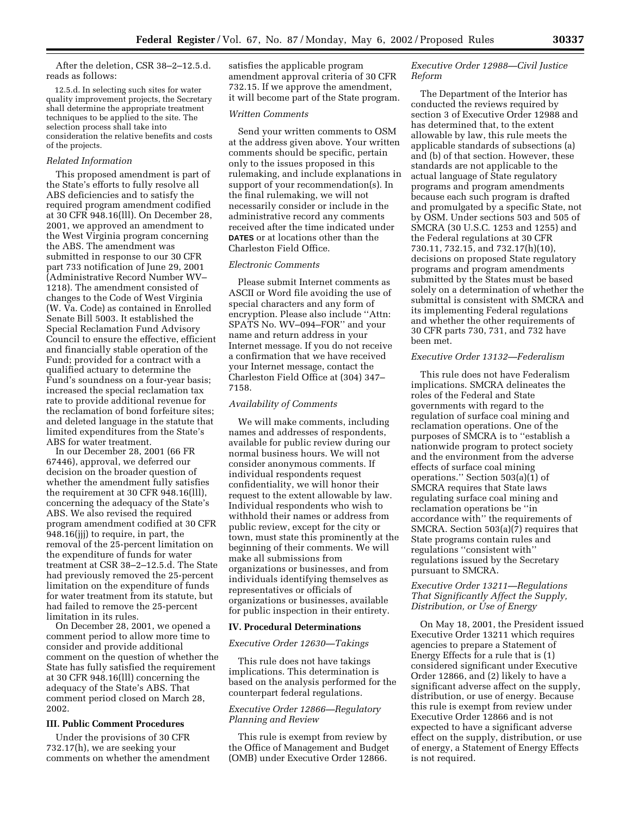After the deletion, CSR 38–2–12.5.d. reads as follows:

12.5.d. In selecting such sites for water quality improvement projects, the Secretary shall determine the appropriate treatment techniques to be applied to the site. The selection process shall take into consideration the relative benefits and costs of the projects.

#### *Related Information*

This proposed amendment is part of the State's efforts to fully resolve all ABS deficiencies and to satisfy the required program amendment codified at 30 CFR 948.16(lll). On December 28, 2001, we approved an amendment to the West Virginia program concerning the ABS. The amendment was submitted in response to our 30 CFR part 733 notification of June 29, 2001 (Administrative Record Number WV– 1218). The amendment consisted of changes to the Code of West Virginia (W. Va. Code) as contained in Enrolled Senate Bill 5003. It established the Special Reclamation Fund Advisory Council to ensure the effective, efficient and financially stable operation of the Fund; provided for a contract with a qualified actuary to determine the Fund's soundness on a four-year basis; increased the special reclamation tax rate to provide additional revenue for the reclamation of bond forfeiture sites; and deleted language in the statute that limited expenditures from the State's ABS for water treatment.

In our December 28, 2001 (66 FR 67446), approval, we deferred our decision on the broader question of whether the amendment fully satisfies the requirement at 30 CFR 948.16(lll), concerning the adequacy of the State's ABS. We also revised the required program amendment codified at 30 CFR 948.16(jjj) to require, in part, the removal of the 25-percent limitation on the expenditure of funds for water treatment at CSR 38–2–12.5.d. The State had previously removed the 25-percent limitation on the expenditure of funds for water treatment from its statute, but had failed to remove the 25-percent limitation in its rules.

On December 28, 2001, we opened a comment period to allow more time to consider and provide additional comment on the question of whether the State has fully satisfied the requirement at 30 CFR 948.16(lll) concerning the adequacy of the State's ABS. That comment period closed on March 28, 2002.

# **III. Public Comment Procedures**

Under the provisions of 30 CFR 732.17(h), we are seeking your comments on whether the amendment satisfies the applicable program amendment approval criteria of 30 CFR 732.15. If we approve the amendment, it will become part of the State program.

#### *Written Comments*

Send your written comments to OSM at the address given above. Your written comments should be specific, pertain only to the issues proposed in this rulemaking, and include explanations in support of your recommendation(s). In the final rulemaking, we will not necessarily consider or include in the administrative record any comments received after the time indicated under **DATES** or at locations other than the Charleston Field Office.

# *Electronic Comments*

Please submit Internet comments as ASCII or Word file avoiding the use of special characters and any form of encryption. Please also include ''Attn: SPATS No. WV–094–FOR'' and your name and return address in your Internet message. If you do not receive a confirmation that we have received your Internet message, contact the Charleston Field Office at (304) 347– 7158.

#### *Availability of Comments*

We will make comments, including names and addresses of respondents, available for public review during our normal business hours. We will not consider anonymous comments. If individual respondents request confidentiality, we will honor their request to the extent allowable by law. Individual respondents who wish to withhold their names or address from public review, except for the city or town, must state this prominently at the beginning of their comments. We will make all submissions from organizations or businesses, and from individuals identifying themselves as representatives or officials of organizations or businesses, available for public inspection in their entirety.

### **IV. Procedural Determinations**

#### *Executive Order 12630—Takings*

This rule does not have takings implications. This determination is based on the analysis performed for the counterpart federal regulations.

## *Executive Order 12866—Regulatory Planning and Review*

This rule is exempt from review by the Office of Management and Budget (OMB) under Executive Order 12866.

## *Executive Order 12988—Civil Justice Reform*

The Department of the Interior has conducted the reviews required by section 3 of Executive Order 12988 and has determined that, to the extent allowable by law, this rule meets the applicable standards of subsections (a) and (b) of that section. However, these standards are not applicable to the actual language of State regulatory programs and program amendments because each such program is drafted and promulgated by a specific State, not by OSM. Under sections 503 and 505 of SMCRA (30 U.S.C. 1253 and 1255) and the Federal regulations at 30 CFR 730.11, 732.15, and 732.17(h)(10), decisions on proposed State regulatory programs and program amendments submitted by the States must be based solely on a determination of whether the submittal is consistent with SMCRA and its implementing Federal regulations and whether the other requirements of 30 CFR parts 730, 731, and 732 have been met.

## *Executive Order 13132—Federalism*

This rule does not have Federalism implications. SMCRA delineates the roles of the Federal and State governments with regard to the regulation of surface coal mining and reclamation operations. One of the purposes of SMCRA is to ''establish a nationwide program to protect society and the environment from the adverse effects of surface coal mining operations." Section  $503(a)(1)$  of SMCRA requires that State laws regulating surface coal mining and reclamation operations be ''in accordance with'' the requirements of SMCRA. Section 503(a)(7) requires that State programs contain rules and regulations ''consistent with'' regulations issued by the Secretary pursuant to SMCRA.

## *Executive Order 13211—Regulations That Significantly Affect the Supply, Distribution, or Use of Energy*

On May 18, 2001, the President issued Executive Order 13211 which requires agencies to prepare a Statement of Energy Effects for a rule that is (1) considered significant under Executive Order 12866, and (2) likely to have a significant adverse affect on the supply, distribution, or use of energy. Because this rule is exempt from review under Executive Order 12866 and is not expected to have a significant adverse effect on the supply, distribution, or use of energy, a Statement of Energy Effects is not required.